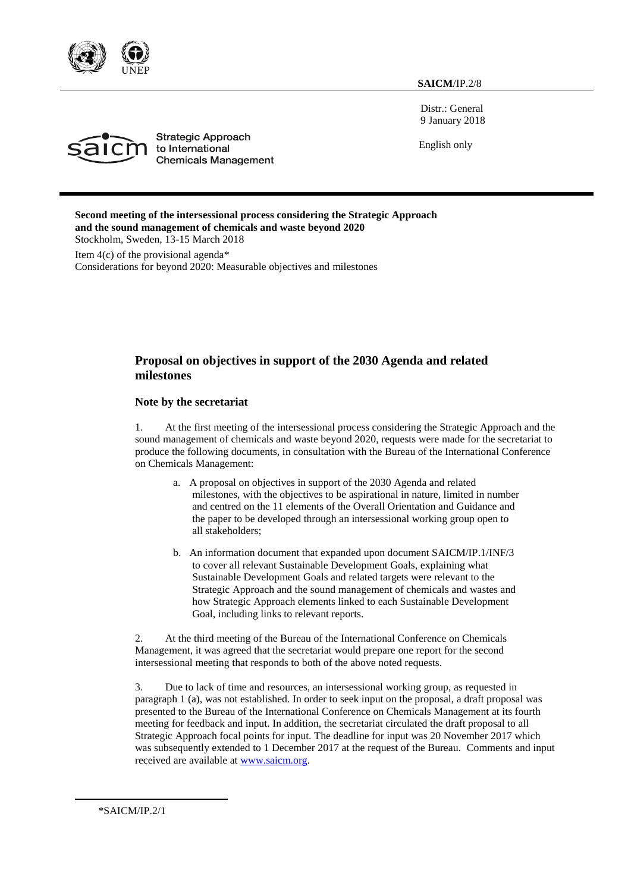

**SAICM**/IP.2/8

Distr.: General 9 January 2018

English only



**Strategic Approach** to International **Chemicals Management** 

**Second meeting of the intersessional process considering the Strategic Approach and the sound management of chemicals and waste beyond 2020** Stockholm, Sweden, 13-15 March 2018

Item  $4(c)$  of the provisional agenda\* Considerations for beyond 2020: Measurable objectives and milestones

## **Proposal on objectives in support of the 2030 Agenda and related milestones**

### **Note by the secretariat**

1. At the first meeting of the intersessional process considering the Strategic Approach and the sound management of chemicals and waste beyond 2020, requests were made for the secretariat to produce the following documents, in consultation with the Bureau of the International Conference on Chemicals Management:

- a. A proposal on objectives in support of the 2030 Agenda and related milestones, with the objectives to be aspirational in nature, limited in number and centred on the 11 elements of the Overall Orientation and Guidance and the paper to be developed through an intersessional working group open to all stakeholders;
- b. An information document that expanded upon document SAICM/IP.1/INF/3 to cover all relevant Sustainable Development Goals, explaining what Sustainable Development Goals and related targets were relevant to the Strategic Approach and the sound management of chemicals and wastes and how Strategic Approach elements linked to each Sustainable Development Goal, including links to relevant reports.

2. At the third meeting of the Bureau of the International Conference on Chemicals Management, it was agreed that the secretariat would prepare one report for the second intersessional meeting that responds to both of the above noted requests.

3. Due to lack of time and resources, an intersessional working group, as requested in paragraph 1 (a), was not established. In order to seek input on the proposal, a draft proposal was presented to the Bureau of the International Conference on Chemicals Management at its fourth meeting for feedback and input. In addition, the secretariat circulated the draft proposal to all Strategic Approach focal points for input. The deadline for input was 20 November 2017 which was subsequently extended to 1 December 2017 at the request of the Bureau. Comments and input received are available at [www.saicm.org.](http://www.saicm.org/)

\*SAICM/IP.2/1

-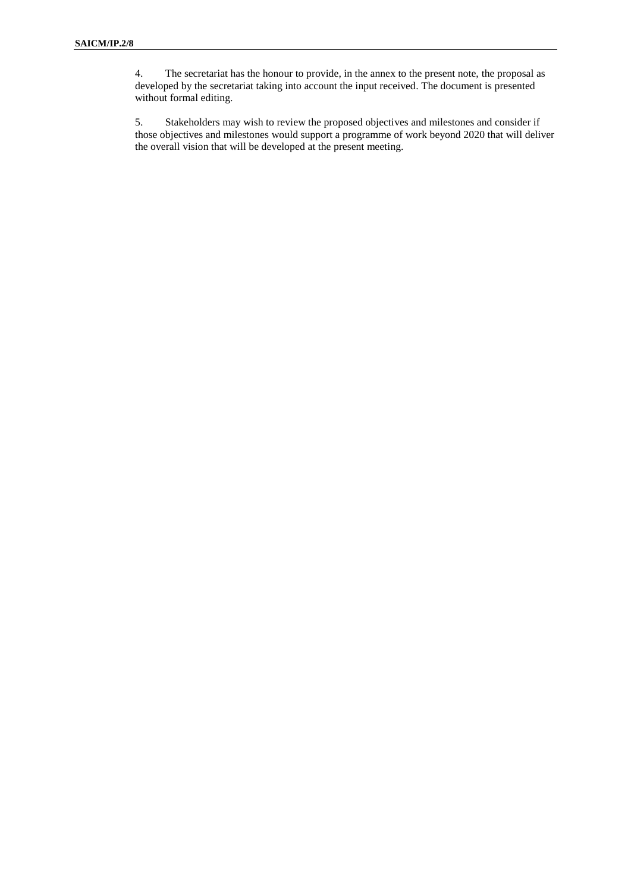4. The secretariat has the honour to provide, in the annex to the present note, the proposal as developed by the secretariat taking into account the input received. The document is presented without formal editing.

5. Stakeholders may wish to review the proposed objectives and milestones and consider if those objectives and milestones would support a programme of work beyond 2020 that will deliver the overall vision that will be developed at the present meeting.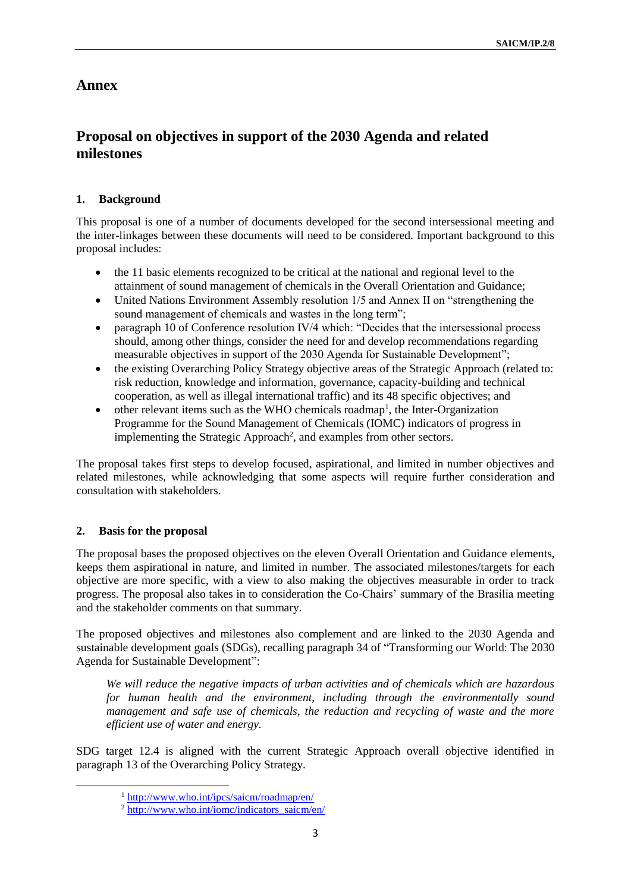## **Annex**

# **Proposal on objectives in support of the 2030 Agenda and related milestones**

## **1. Background**

This proposal is one of a number of documents developed for the second intersessional meeting and the inter-linkages between these documents will need to be considered. Important background to this proposal includes:

- the 11 basic elements recognized to be critical at the national and regional level to the attainment of sound management of chemicals in the Overall Orientation and Guidance;
- United Nations Environment Assembly resolution 1/5 and Annex II on "strengthening the sound management of chemicals and wastes in the long term";
- paragraph 10 of Conference resolution IV/4 which: "Decides that the intersessional process should, among other things, consider the need for and develop recommendations regarding measurable objectives in support of the 2030 Agenda for Sustainable Development";
- the existing Overarching Policy Strategy objective areas of the Strategic Approach (related to: risk reduction, knowledge and information, governance, capacity-building and technical cooperation, as well as illegal international traffic) and its 48 specific objectives; and
- $\bullet$  other relevant items such as the WHO chemicals roadmap<sup>1</sup>, the Inter-Organization Programme for the Sound Management of Chemicals (IOMC) indicators of progress in implementing the Strategic Approach<sup>2</sup>, and examples from other sectors.

The proposal takes first steps to develop focused, aspirational, and limited in number objectives and related milestones, while acknowledging that some aspects will require further consideration and consultation with stakeholders.

### **2. Basis for the proposal**

-

The proposal bases the proposed objectives on the eleven Overall Orientation and Guidance elements, keeps them aspirational in nature, and limited in number. The associated milestones/targets for each objective are more specific, with a view to also making the objectives measurable in order to track progress. The proposal also takes in to consideration the Co-Chairs' summary of the Brasilia meeting and the stakeholder comments on that summary.

The proposed objectives and milestones also complement and are linked to the 2030 Agenda and sustainable development goals (SDGs), recalling paragraph 34 of "Transforming our World: The 2030 Agenda for Sustainable Development":

*We will reduce the negative impacts of urban activities and of chemicals which are hazardous for human health and the environment, including through the environmentally sound management and safe use of chemicals, the reduction and recycling of waste and the more efficient use of water and energy.*

SDG target 12.4 is aligned with the current Strategic Approach overall objective identified in paragraph 13 of the Overarching Policy Strategy.

<sup>1</sup> <http://www.who.int/ipcs/saicm/roadmap/en/>

<sup>2</sup> [http://www.who.int/iomc/indicators\\_saicm/en/](http://www.who.int/iomc/indicators_saicm/en/)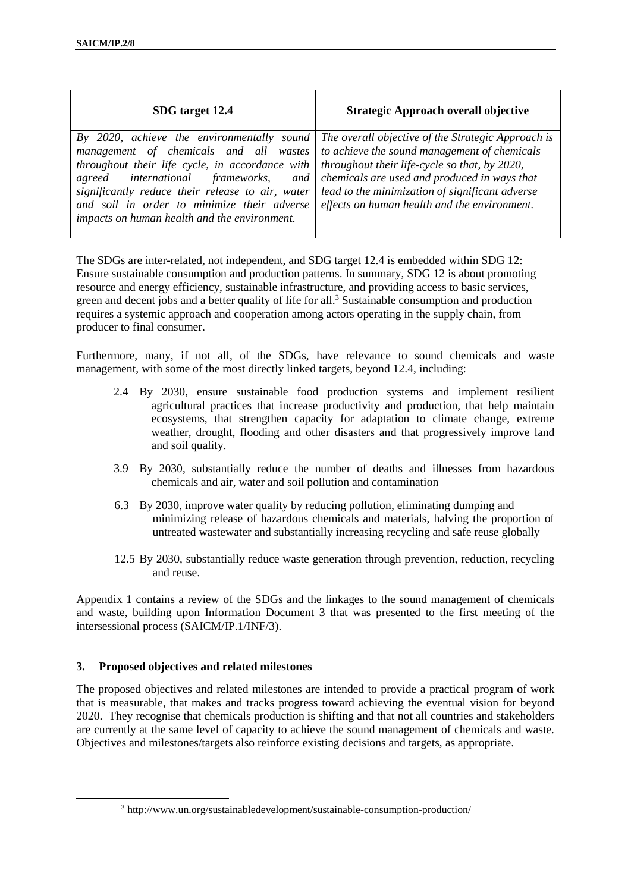| SDG target 12.4                                                                                                                                                                                                                                                                                                                                                                                                                                                                      | <b>Strategic Approach overall objective</b>                                                                                                   |
|--------------------------------------------------------------------------------------------------------------------------------------------------------------------------------------------------------------------------------------------------------------------------------------------------------------------------------------------------------------------------------------------------------------------------------------------------------------------------------------|-----------------------------------------------------------------------------------------------------------------------------------------------|
| management of chemicals and all wastes to achieve the sound management of chemicals<br>throughout their life cycle, in accordance with $\vert$ throughout their life-cycle so that, by 2020,<br>agreed international frameworks, and chemicals are used and produced in ways that<br>significantly reduce their release to air, water lead to the minimization of significant adverse<br>and soil in order to minimize their adverse<br>impacts on human health and the environment. | By 2020, achieve the environmentally sound The overall objective of the Strategic Approach is<br>effects on human health and the environment. |

The SDGs are inter-related, not independent, and SDG target 12.4 is embedded within SDG 12: Ensure sustainable consumption and production patterns. In summary, SDG 12 is about promoting resource and energy efficiency, sustainable infrastructure, and providing access to basic services, green and decent jobs and a better quality of life for all.<sup>3</sup> Sustainable consumption and production requires a systemic approach and cooperation among actors operating in the supply chain, from producer to final consumer.

Furthermore, many, if not all, of the SDGs, have relevance to sound chemicals and waste management, with some of the most directly linked targets, beyond 12.4, including:

- 2.4 By 2030, ensure sustainable food production systems and implement resilient agricultural practices that increase productivity and production, that help maintain ecosystems, that strengthen capacity for adaptation to climate change, extreme weather, drought, flooding and other disasters and that progressively improve land and soil quality.
- 3.9 By 2030, substantially reduce the number of deaths and illnesses from hazardous chemicals and air, water and soil pollution and contamination
- 6.3 By 2030, improve water quality by reducing pollution, eliminating dumping and minimizing release of hazardous chemicals and materials, halving the proportion of untreated wastewater and substantially increasing recycling and safe reuse globally
- 12.5 By 2030, substantially reduce waste generation through prevention, reduction, recycling and reuse.

Appendix 1 contains a review of the SDGs and the linkages to the sound management of chemicals and waste, building upon Information Document 3 that was presented to the first meeting of the intersessional process (SAICM/IP.1/INF/3).

## **3. Proposed objectives and related milestones**

-

The proposed objectives and related milestones are intended to provide a practical program of work that is measurable, that makes and tracks progress toward achieving the eventual vision for beyond 2020. They recognise that chemicals production is shifting and that not all countries and stakeholders are currently at the same level of capacity to achieve the sound management of chemicals and waste. Objectives and milestones/targets also reinforce existing decisions and targets, as appropriate.

<sup>3</sup> http://www.un.org/sustainabledevelopment/sustainable-consumption-production/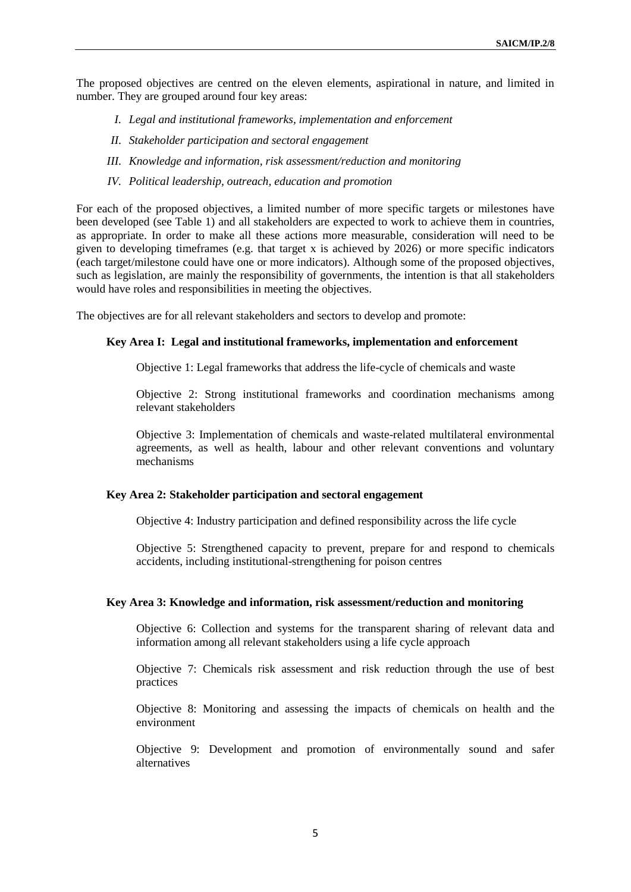The proposed objectives are centred on the eleven elements, aspirational in nature, and limited in number. They are grouped around four key areas:

- *I. Legal and institutional frameworks, implementation and enforcement*
- *II. Stakeholder participation and sectoral engagement*
- *III. Knowledge and information, risk assessment/reduction and monitoring*
- *IV. Political leadership, outreach, education and promotion*

For each of the proposed objectives, a limited number of more specific targets or milestones have been developed (see Table 1) and all stakeholders are expected to work to achieve them in countries, as appropriate. In order to make all these actions more measurable, consideration will need to be given to developing timeframes (e.g. that target x is achieved by 2026) or more specific indicators (each target/milestone could have one or more indicators). Although some of the proposed objectives, such as legislation, are mainly the responsibility of governments, the intention is that all stakeholders would have roles and responsibilities in meeting the objectives.

The objectives are for all relevant stakeholders and sectors to develop and promote:

#### **Key Area I: Legal and institutional frameworks, implementation and enforcement**

Objective 1: Legal frameworks that address the life-cycle of chemicals and waste

Objective 2: Strong institutional frameworks and coordination mechanisms among relevant stakeholders

Objective 3: Implementation of chemicals and waste-related multilateral environmental agreements, as well as health, labour and other relevant conventions and voluntary mechanisms

#### **Key Area 2: Stakeholder participation and sectoral engagement**

Objective 4: Industry participation and defined responsibility across the life cycle

Objective 5: Strengthened capacity to prevent, prepare for and respond to chemicals accidents, including institutional-strengthening for poison centres

#### **Key Area 3: Knowledge and information, risk assessment/reduction and monitoring**

Objective 6: Collection and systems for the transparent sharing of relevant data and information among all relevant stakeholders using a life cycle approach

Objective 7: Chemicals risk assessment and risk reduction through the use of best practices

Objective 8: Monitoring and assessing the impacts of chemicals on health and the environment

Objective 9: Development and promotion of environmentally sound and safer alternatives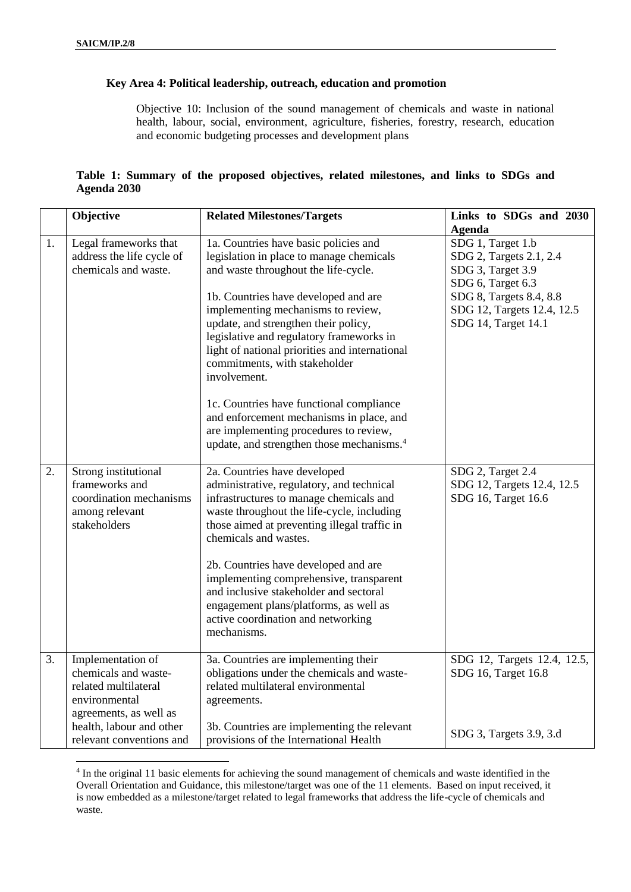1

## **Key Area 4: Political leadership, outreach, education and promotion**

Objective 10: Inclusion of the sound management of chemicals and waste in national health, labour, social, environment, agriculture, fisheries, forestry, research, education and economic budgeting processes and development plans

|             |  |  | Table 1: Summary of the proposed objectives, related milestones, and links to SDGs and |  |  |  |
|-------------|--|--|----------------------------------------------------------------------------------------|--|--|--|
| Agenda 2030 |  |  |                                                                                        |  |  |  |

|    | Objective                 | <b>Related Milestones/Targets</b>                     | Links to SDGs and 2030      |
|----|---------------------------|-------------------------------------------------------|-----------------------------|
|    |                           |                                                       | <b>Agenda</b>               |
| 1. | Legal frameworks that     | 1a. Countries have basic policies and                 | SDG 1, Target 1.b           |
|    | address the life cycle of | legislation in place to manage chemicals              | SDG 2, Targets 2.1, 2.4     |
|    | chemicals and waste.      | and waste throughout the life-cycle.                  | SDG 3, Target 3.9           |
|    |                           |                                                       | SDG 6, Target 6.3           |
|    |                           | 1b. Countries have developed and are                  | SDG 8, Targets 8.4, 8.8     |
|    |                           | implementing mechanisms to review,                    | SDG 12, Targets 12.4, 12.5  |
|    |                           | update, and strengthen their policy,                  | SDG 14, Target 14.1         |
|    |                           | legislative and regulatory frameworks in              |                             |
|    |                           | light of national priorities and international        |                             |
|    |                           | commitments, with stakeholder                         |                             |
|    |                           | involvement.                                          |                             |
|    |                           | 1c. Countries have functional compliance              |                             |
|    |                           | and enforcement mechanisms in place, and              |                             |
|    |                           | are implementing procedures to review,                |                             |
|    |                           | update, and strengthen those mechanisms. <sup>4</sup> |                             |
|    |                           |                                                       |                             |
| 2. | Strong institutional      | 2a. Countries have developed                          | SDG 2, Target 2.4           |
|    | frameworks and            | administrative, regulatory, and technical             | SDG 12, Targets 12.4, 12.5  |
|    | coordination mechanisms   | infrastructures to manage chemicals and               | SDG 16, Target 16.6         |
|    | among relevant            | waste throughout the life-cycle, including            |                             |
|    | stakeholders              | those aimed at preventing illegal traffic in          |                             |
|    |                           | chemicals and wastes.                                 |                             |
|    |                           | 2b. Countries have developed and are                  |                             |
|    |                           | implementing comprehensive, transparent               |                             |
|    |                           | and inclusive stakeholder and sectoral                |                             |
|    |                           | engagement plans/platforms, as well as                |                             |
|    |                           | active coordination and networking                    |                             |
|    |                           | mechanisms.                                           |                             |
| 3. | Implementation of         | 3a. Countries are implementing their                  | SDG 12, Targets 12.4, 12.5, |
|    | chemicals and waste-      | obligations under the chemicals and waste-            | SDG 16, Target 16.8         |
|    | related multilateral      | related multilateral environmental                    |                             |
|    | environmental             | agreements.                                           |                             |
|    | agreements, as well as    |                                                       |                             |
|    | health, labour and other  | 3b. Countries are implementing the relevant           |                             |
|    | relevant conventions and  | provisions of the International Health                | SDG 3, Targets 3.9, 3.d     |

<sup>4</sup> In the original 11 basic elements for achieving the sound management of chemicals and waste identified in the Overall Orientation and Guidance, this milestone/target was one of the 11 elements. Based on input received, it is now embedded as a milestone/target related to legal frameworks that address the life-cycle of chemicals and waste.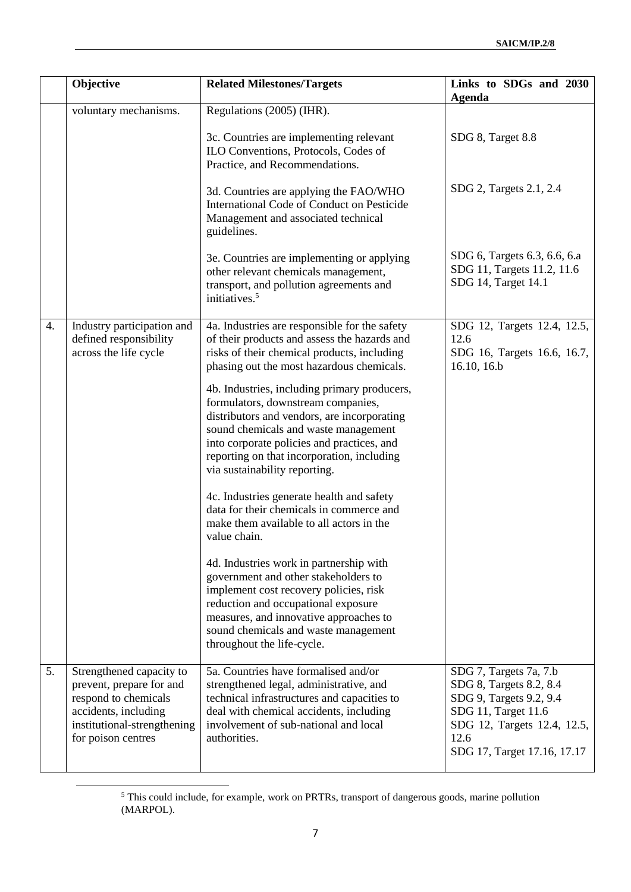|    | Objective                                                                                                                                                 | <b>Related Milestones/Targets</b>                                                                                                                                                                                                                                                                      | Links to SDGs and 2030<br><b>Agenda</b>                                                                                                                                   |
|----|-----------------------------------------------------------------------------------------------------------------------------------------------------------|--------------------------------------------------------------------------------------------------------------------------------------------------------------------------------------------------------------------------------------------------------------------------------------------------------|---------------------------------------------------------------------------------------------------------------------------------------------------------------------------|
|    | voluntary mechanisms.                                                                                                                                     | Regulations (2005) (IHR).                                                                                                                                                                                                                                                                              |                                                                                                                                                                           |
|    |                                                                                                                                                           | 3c. Countries are implementing relevant<br>ILO Conventions, Protocols, Codes of<br>Practice, and Recommendations.                                                                                                                                                                                      | SDG 8, Target 8.8                                                                                                                                                         |
|    |                                                                                                                                                           | 3d. Countries are applying the FAO/WHO<br>International Code of Conduct on Pesticide<br>Management and associated technical<br>guidelines.                                                                                                                                                             | SDG 2, Targets 2.1, 2.4                                                                                                                                                   |
|    |                                                                                                                                                           | 3e. Countries are implementing or applying<br>other relevant chemicals management,<br>transport, and pollution agreements and<br>initiatives. <sup>5</sup>                                                                                                                                             | SDG 6, Targets 6.3, 6.6, 6.a<br>SDG 11, Targets 11.2, 11.6<br>SDG 14, Target 14.1                                                                                         |
| 4. | Industry participation and<br>defined responsibility<br>across the life cycle                                                                             | 4a. Industries are responsible for the safety<br>of their products and assess the hazards and<br>risks of their chemical products, including<br>phasing out the most hazardous chemicals.                                                                                                              | SDG 12, Targets 12.4, 12.5,<br>12.6<br>SDG 16, Targets 16.6, 16.7,<br>16.10, 16.b                                                                                         |
|    |                                                                                                                                                           | 4b. Industries, including primary producers,<br>formulators, downstream companies,<br>distributors and vendors, are incorporating<br>sound chemicals and waste management<br>into corporate policies and practices, and<br>reporting on that incorporation, including<br>via sustainability reporting. |                                                                                                                                                                           |
|    |                                                                                                                                                           | 4c. Industries generate health and safety<br>data for their chemicals in commerce and<br>make them available to all actors in the<br>value chain.                                                                                                                                                      |                                                                                                                                                                           |
|    |                                                                                                                                                           | 4d. Industries work in partnership with<br>government and other stakeholders to<br>implement cost recovery policies, risk<br>reduction and occupational exposure<br>measures, and innovative approaches to<br>sound chemicals and waste management<br>throughout the life-cycle.                       |                                                                                                                                                                           |
| 5. | Strengthened capacity to<br>prevent, prepare for and<br>respond to chemicals<br>accidents, including<br>institutional-strengthening<br>for poison centres | 5a. Countries have formalised and/or<br>strengthened legal, administrative, and<br>technical infrastructures and capacities to<br>deal with chemical accidents, including<br>involvement of sub-national and local<br>authorities.                                                                     | SDG 7, Targets 7a, 7.b<br>SDG 8, Targets 8.2, 8.4<br>SDG 9, Targets 9.2, 9.4<br>SDG 11, Target 11.6<br>SDG 12, Targets 12.4, 12.5,<br>12.6<br>SDG 17, Target 17.16, 17.17 |

<sup>&</sup>lt;sup>5</sup> This could include, for example, work on PRTRs, transport of dangerous goods, marine pollution (MARPOL).

-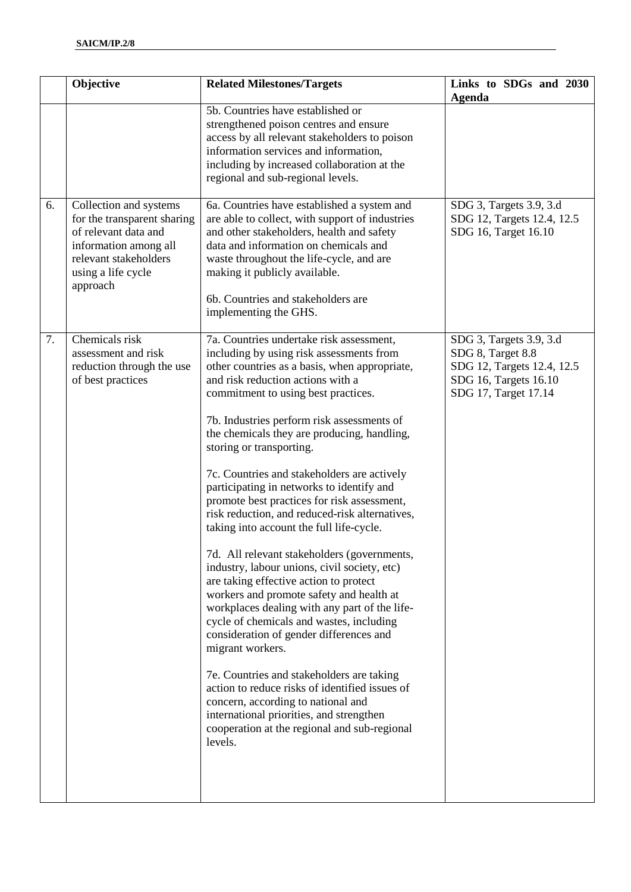|    | Objective                                                                                                                                                         | <b>Related Milestones/Targets</b>                                                                                                                                                                                                                                                                                                                                                                                                                                                                                                                                                                                                                                                                                                                                                                                                                                                                                                                                                                                                                                                                                                                                                | Links to SDGs and 2030<br>Agenda                                                                                            |
|----|-------------------------------------------------------------------------------------------------------------------------------------------------------------------|----------------------------------------------------------------------------------------------------------------------------------------------------------------------------------------------------------------------------------------------------------------------------------------------------------------------------------------------------------------------------------------------------------------------------------------------------------------------------------------------------------------------------------------------------------------------------------------------------------------------------------------------------------------------------------------------------------------------------------------------------------------------------------------------------------------------------------------------------------------------------------------------------------------------------------------------------------------------------------------------------------------------------------------------------------------------------------------------------------------------------------------------------------------------------------|-----------------------------------------------------------------------------------------------------------------------------|
|    |                                                                                                                                                                   | 5b. Countries have established or<br>strengthened poison centres and ensure<br>access by all relevant stakeholders to poison<br>information services and information,<br>including by increased collaboration at the<br>regional and sub-regional levels.                                                                                                                                                                                                                                                                                                                                                                                                                                                                                                                                                                                                                                                                                                                                                                                                                                                                                                                        |                                                                                                                             |
| 6. | Collection and systems<br>for the transparent sharing<br>of relevant data and<br>information among all<br>relevant stakeholders<br>using a life cycle<br>approach | 6a. Countries have established a system and<br>are able to collect, with support of industries<br>and other stakeholders, health and safety<br>data and information on chemicals and<br>waste throughout the life-cycle, and are<br>making it publicly available.<br>6b. Countries and stakeholders are<br>implementing the GHS.                                                                                                                                                                                                                                                                                                                                                                                                                                                                                                                                                                                                                                                                                                                                                                                                                                                 | SDG 3, Targets 3.9, 3.d<br>SDG 12, Targets 12.4, 12.5<br>SDG 16, Target 16.10                                               |
| 7. | Chemicals risk<br>assessment and risk<br>reduction through the use<br>of best practices                                                                           | 7a. Countries undertake risk assessment,<br>including by using risk assessments from<br>other countries as a basis, when appropriate,<br>and risk reduction actions with a<br>commitment to using best practices.<br>7b. Industries perform risk assessments of<br>the chemicals they are producing, handling,<br>storing or transporting.<br>7c. Countries and stakeholders are actively<br>participating in networks to identify and<br>promote best practices for risk assessment,<br>risk reduction, and reduced-risk alternatives,<br>taking into account the full life-cycle.<br>7d. All relevant stakeholders (governments,<br>industry, labour unions, civil society, etc)<br>are taking effective action to protect<br>workers and promote safety and health at<br>workplaces dealing with any part of the life-<br>cycle of chemicals and wastes, including<br>consideration of gender differences and<br>migrant workers.<br>7e. Countries and stakeholders are taking<br>action to reduce risks of identified issues of<br>concern, according to national and<br>international priorities, and strengthen<br>cooperation at the regional and sub-regional<br>levels. | SDG 3, Targets 3.9, 3.d<br>SDG 8, Target 8.8<br>SDG 12, Targets 12.4, 12.5<br>SDG 16, Targets 16.10<br>SDG 17, Target 17.14 |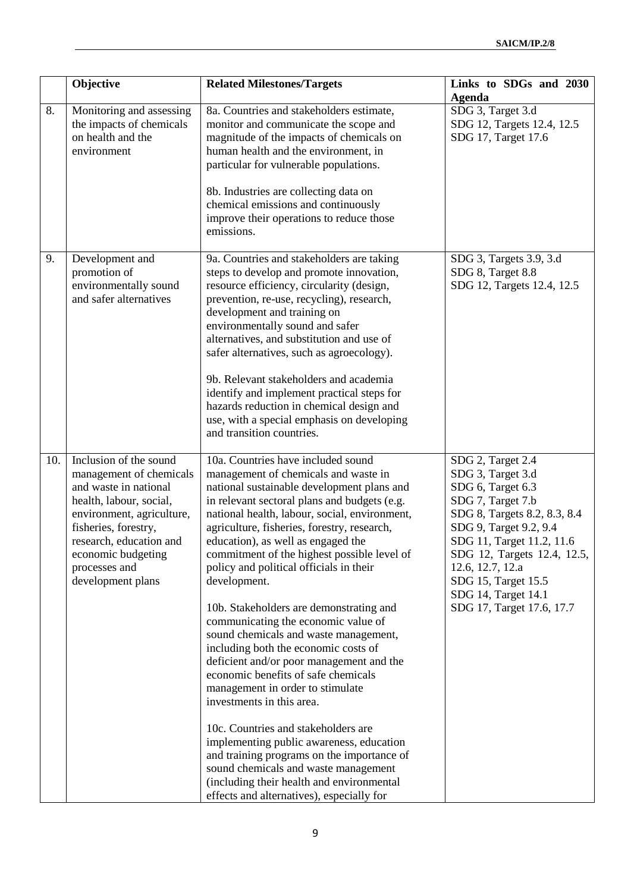|     | Objective                                                                                                                                                                                                                                         | <b>Related Milestones/Targets</b>                                                                                                                                                                                                                                                                                                                                                                                                                                                                                                                                                                                                                                                                                                                                                                                                                                                                                                                                                                                  | Links to SDGs and 2030<br><b>Agenda</b>                                                                                                                                                                                                                                                               |
|-----|---------------------------------------------------------------------------------------------------------------------------------------------------------------------------------------------------------------------------------------------------|--------------------------------------------------------------------------------------------------------------------------------------------------------------------------------------------------------------------------------------------------------------------------------------------------------------------------------------------------------------------------------------------------------------------------------------------------------------------------------------------------------------------------------------------------------------------------------------------------------------------------------------------------------------------------------------------------------------------------------------------------------------------------------------------------------------------------------------------------------------------------------------------------------------------------------------------------------------------------------------------------------------------|-------------------------------------------------------------------------------------------------------------------------------------------------------------------------------------------------------------------------------------------------------------------------------------------------------|
| 8.  | Monitoring and assessing<br>the impacts of chemicals<br>on health and the<br>environment                                                                                                                                                          | 8a. Countries and stakeholders estimate,<br>monitor and communicate the scope and<br>magnitude of the impacts of chemicals on<br>human health and the environment, in<br>particular for vulnerable populations.<br>8b. Industries are collecting data on<br>chemical emissions and continuously<br>improve their operations to reduce those<br>emissions.                                                                                                                                                                                                                                                                                                                                                                                                                                                                                                                                                                                                                                                          | SDG 3, Target 3.d<br>SDG 12, Targets 12.4, 12.5<br>SDG 17, Target 17.6                                                                                                                                                                                                                                |
| 9.  | Development and<br>promotion of<br>environmentally sound<br>and safer alternatives                                                                                                                                                                | 9a. Countries and stakeholders are taking<br>steps to develop and promote innovation,<br>resource efficiency, circularity (design,<br>prevention, re-use, recycling), research,<br>development and training on<br>environmentally sound and safer<br>alternatives, and substitution and use of<br>safer alternatives, such as agroecology).<br>9b. Relevant stakeholders and academia<br>identify and implement practical steps for<br>hazards reduction in chemical design and<br>use, with a special emphasis on developing<br>and transition countries.                                                                                                                                                                                                                                                                                                                                                                                                                                                         | SDG 3, Targets 3.9, 3.d<br>SDG 8, Target 8.8<br>SDG 12, Targets 12.4, 12.5                                                                                                                                                                                                                            |
| 10. | Inclusion of the sound<br>management of chemicals<br>and waste in national<br>health, labour, social,<br>environment, agriculture,<br>fisheries, forestry,<br>research, education and<br>economic budgeting<br>processes and<br>development plans | 10a. Countries have included sound<br>management of chemicals and waste in<br>national sustainable development plans and<br>in relevant sectoral plans and budgets (e.g.<br>national health, labour, social, environment,<br>agriculture, fisheries, forestry, research,<br>education), as well as engaged the<br>commitment of the highest possible level of<br>policy and political officials in their<br>development.<br>10b. Stakeholders are demonstrating and<br>communicating the economic value of<br>sound chemicals and waste management,<br>including both the economic costs of<br>deficient and/or poor management and the<br>economic benefits of safe chemicals<br>management in order to stimulate<br>investments in this area.<br>10c. Countries and stakeholders are<br>implementing public awareness, education<br>and training programs on the importance of<br>sound chemicals and waste management<br>(including their health and environmental<br>effects and alternatives), especially for | SDG 2, Target 2.4<br>SDG 3, Target 3.d<br>SDG 6, Target 6.3<br>SDG 7, Target 7.b<br>SDG 8, Targets 8.2, 8.3, 8.4<br>SDG 9, Target 9.2, 9.4<br>SDG 11, Target 11.2, 11.6<br>SDG 12, Targets 12.4, 12.5,<br>12.6, 12.7, 12.a<br>SDG 15, Target 15.5<br>SDG 14, Target 14.1<br>SDG 17, Target 17.6, 17.7 |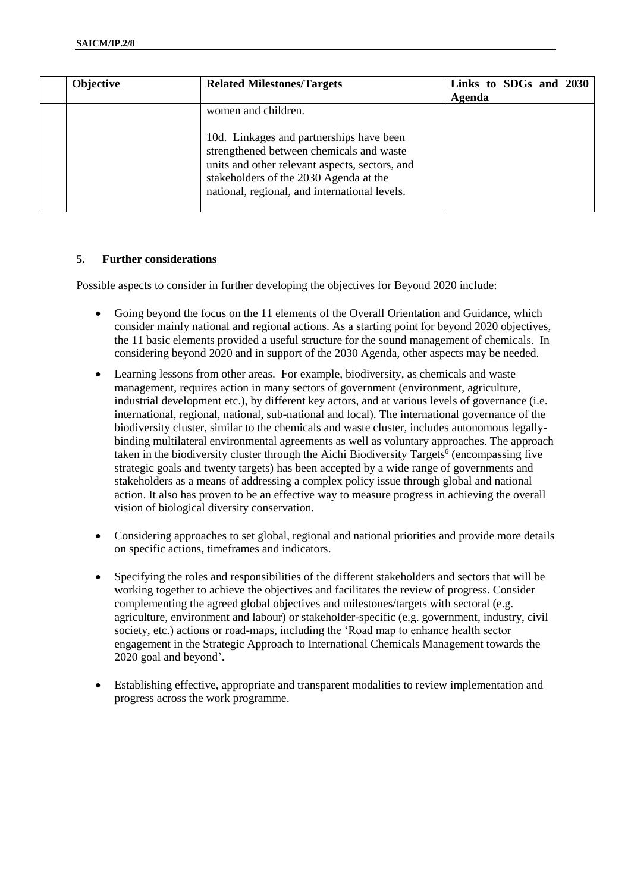| <b>Objective</b> | <b>Related Milestones/Targets</b>                                                                                                                                                                                                 | Links to SDGs and 2030 |  |  |
|------------------|-----------------------------------------------------------------------------------------------------------------------------------------------------------------------------------------------------------------------------------|------------------------|--|--|
|                  |                                                                                                                                                                                                                                   | Agenda                 |  |  |
|                  | women and children.                                                                                                                                                                                                               |                        |  |  |
|                  | 10d. Linkages and partnerships have been<br>strengthened between chemicals and waste<br>units and other relevant aspects, sectors, and<br>stakeholders of the 2030 Agenda at the<br>national, regional, and international levels. |                        |  |  |

### **5. Further considerations**

Possible aspects to consider in further developing the objectives for Beyond 2020 include:

- Going beyond the focus on the 11 elements of the Overall Orientation and Guidance, which consider mainly national and regional actions. As a starting point for beyond 2020 objectives, the 11 basic elements provided a useful structure for the sound management of chemicals. In considering beyond 2020 and in support of the 2030 Agenda, other aspects may be needed.
- Learning lessons from other areas. For example, biodiversity, as chemicals and waste management, requires action in many sectors of government (environment, agriculture, industrial development etc.), by different key actors, and at various levels of governance (i.e. international, regional, national, sub-national and local). The international governance of the biodiversity cluster, similar to the chemicals and waste cluster, includes autonomous legallybinding multilateral environmental agreements as well as voluntary approaches. The approach taken in the biodiversity cluster through the Aichi Biodiversity Targets<sup>6</sup> (encompassing five strategic goals and twenty targets) has been accepted by a wide range of governments and stakeholders as a means of addressing a complex policy issue through global and national action. It also has proven to be an effective way to measure progress in achieving the overall vision of biological diversity conservation.
- Considering approaches to set global, regional and national priorities and provide more details on specific actions, timeframes and indicators.
- Specifying the roles and responsibilities of the different stakeholders and sectors that will be working together to achieve the objectives and facilitates the review of progress. Consider complementing the agreed global objectives and milestones/targets with sectoral (e.g. agriculture, environment and labour) or stakeholder-specific (e.g. government, industry, civil society, etc.) actions or road-maps, including the 'Road map to enhance health sector engagement in the Strategic Approach to International Chemicals Management towards the 2020 goal and beyond'.
- Establishing effective, appropriate and transparent modalities to review implementation and progress across the work programme.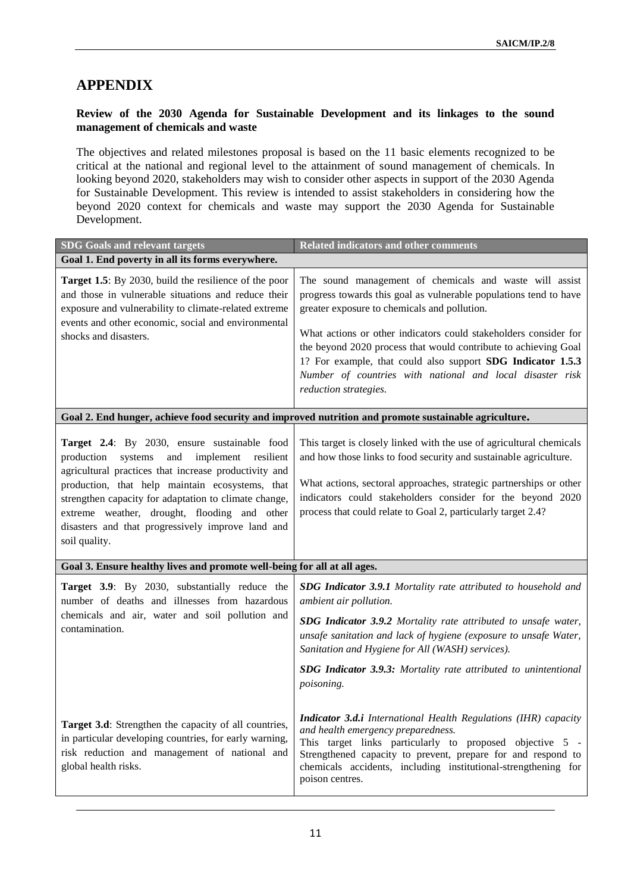# **APPENDIX**

1

## **Review of the 2030 Agenda for Sustainable Development and its linkages to the sound management of chemicals and waste**

The objectives and related milestones proposal is based on the 11 basic elements recognized to be critical at the national and regional level to the attainment of sound management of chemicals. In looking beyond 2020, stakeholders may wish to consider other aspects in support of the 2030 Agenda for Sustainable Development. This review is intended to assist stakeholders in considering how the beyond 2020 context for chemicals and waste may support the 2030 Agenda for Sustainable Development.

| <b>SDG Goals and relevant targets</b>                                                                                                                                                                                                                                                                                                                                                             | <b>Related indicators and other comments</b>                                                                                                                                                                                                                                                                                                                                                                                                                             |
|---------------------------------------------------------------------------------------------------------------------------------------------------------------------------------------------------------------------------------------------------------------------------------------------------------------------------------------------------------------------------------------------------|--------------------------------------------------------------------------------------------------------------------------------------------------------------------------------------------------------------------------------------------------------------------------------------------------------------------------------------------------------------------------------------------------------------------------------------------------------------------------|
| Goal 1. End poverty in all its forms everywhere.                                                                                                                                                                                                                                                                                                                                                  |                                                                                                                                                                                                                                                                                                                                                                                                                                                                          |
| <b>Target 1.5</b> : By 2030, build the resilience of the poor<br>and those in vulnerable situations and reduce their<br>exposure and vulnerability to climate-related extreme<br>events and other economic, social and environmental<br>shocks and disasters.                                                                                                                                     | The sound management of chemicals and waste will assist<br>progress towards this goal as vulnerable populations tend to have<br>greater exposure to chemicals and pollution.<br>What actions or other indicators could stakeholders consider for<br>the beyond 2020 process that would contribute to achieving Goal<br>1? For example, that could also support SDG Indicator 1.5.3<br>Number of countries with national and local disaster risk<br>reduction strategies. |
|                                                                                                                                                                                                                                                                                                                                                                                                   | Goal 2. End hunger, achieve food security and improved nutrition and promote sustainable agriculture.                                                                                                                                                                                                                                                                                                                                                                    |
| Target 2.4: By 2030, ensure sustainable food<br>production<br>systems<br>and<br>implement<br>resilient<br>agricultural practices that increase productivity and<br>production, that help maintain ecosystems, that<br>strengthen capacity for adaptation to climate change,<br>extreme weather, drought, flooding and other<br>disasters and that progressively improve land and<br>soil quality. | This target is closely linked with the use of agricultural chemicals<br>and how those links to food security and sustainable agriculture.<br>What actions, sectoral approaches, strategic partnerships or other<br>indicators could stakeholders consider for the beyond 2020<br>process that could relate to Goal 2, particularly target 2.4?                                                                                                                           |
| Goal 3. Ensure healthy lives and promote well-being for all at all ages.                                                                                                                                                                                                                                                                                                                          |                                                                                                                                                                                                                                                                                                                                                                                                                                                                          |
| Target 3.9: By 2030, substantially reduce the<br>number of deaths and illnesses from hazardous<br>chemicals and air, water and soil pollution and<br>contamination.                                                                                                                                                                                                                               | SDG Indicator 3.9.1 Mortality rate attributed to household and<br>ambient air pollution.<br>SDG Indicator 3.9.2 Mortality rate attributed to unsafe water,<br>unsafe sanitation and lack of hygiene (exposure to unsafe Water,<br>Sanitation and Hygiene for All (WASH) services).<br>SDG Indicator 3.9.3: Mortality rate attributed to unintentional<br>poisoning.                                                                                                      |
| Target 3.d: Strengthen the capacity of all countries,<br>in particular developing countries, for early warning,<br>risk reduction and management of national and<br>global health risks.                                                                                                                                                                                                          | <b>Indicator 3.d.i</b> International Health Regulations (IHR) capacity<br>and health emergency preparedness.<br>This target links particularly to proposed objective 5 -<br>Strengthened capacity to prevent, prepare for and respond to<br>chemicals accidents, including institutional-strengthening for<br>poison centres.                                                                                                                                            |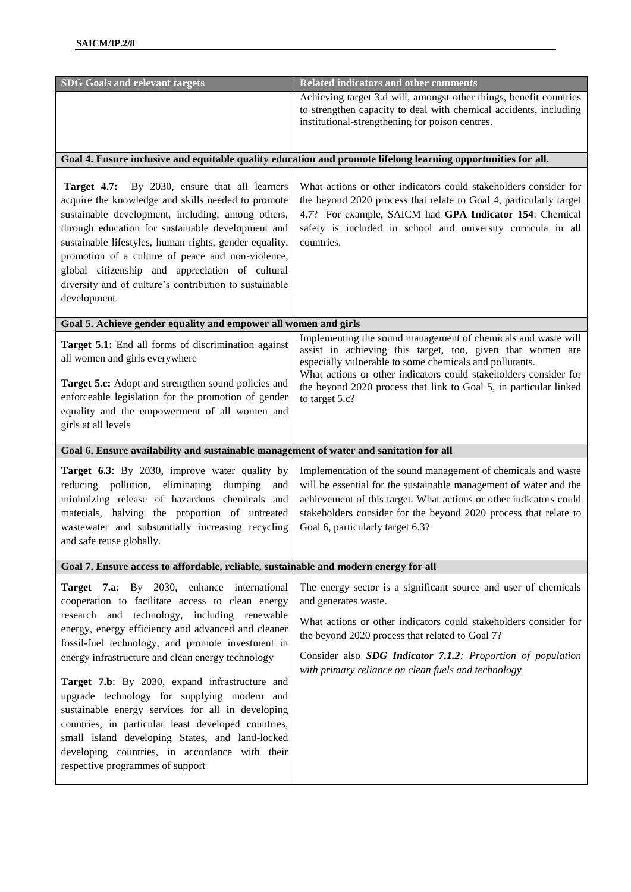| <b>SDG Goals and relevant targets</b>                                                                                                                                                                                                                                                                                                                                                                                                                                                                                                                                                                                                                                | <b>Related indicators and other comments</b>                                                                                                                                                                                                                                                                                                      |
|----------------------------------------------------------------------------------------------------------------------------------------------------------------------------------------------------------------------------------------------------------------------------------------------------------------------------------------------------------------------------------------------------------------------------------------------------------------------------------------------------------------------------------------------------------------------------------------------------------------------------------------------------------------------|---------------------------------------------------------------------------------------------------------------------------------------------------------------------------------------------------------------------------------------------------------------------------------------------------------------------------------------------------|
|                                                                                                                                                                                                                                                                                                                                                                                                                                                                                                                                                                                                                                                                      | Achieving target 3.d will, amongst other things, benefit countries<br>to strengthen capacity to deal with chemical accidents, including<br>institutional-strengthening for poison centres.                                                                                                                                                        |
|                                                                                                                                                                                                                                                                                                                                                                                                                                                                                                                                                                                                                                                                      | Goal 4. Ensure inclusive and equitable quality education and promote lifelong learning opportunities for all.                                                                                                                                                                                                                                     |
| Target 4.7: By 2030, ensure that all learners<br>acquire the knowledge and skills needed to promote<br>sustainable development, including, among others,<br>through education for sustainable development and<br>sustainable lifestyles, human rights, gender equality,<br>promotion of a culture of peace and non-violence,<br>global citizenship and appreciation of cultural<br>diversity and of culture's contribution to sustainable<br>development.                                                                                                                                                                                                            | What actions or other indicators could stakeholders consider for<br>the beyond 2020 process that relate to Goal 4, particularly target<br>4.7? For example, SAICM had GPA Indicator 154: Chemical<br>safety is included in school and university curricula in all<br>countries.                                                                   |
| Goal 5. Achieve gender equality and empower all women and girls                                                                                                                                                                                                                                                                                                                                                                                                                                                                                                                                                                                                      |                                                                                                                                                                                                                                                                                                                                                   |
| Target 5.1: End all forms of discrimination against<br>all women and girls everywhere<br>Target 5.c: Adopt and strengthen sound policies and<br>enforceable legislation for the promotion of gender<br>equality and the empowerment of all women and<br>girls at all levels                                                                                                                                                                                                                                                                                                                                                                                          | Implementing the sound management of chemicals and waste will<br>assist in achieving this target, too, given that women are<br>especially vulnerable to some chemicals and pollutants.<br>What actions or other indicators could stakeholders consider for<br>the beyond 2020 process that link to Goal 5, in particular linked<br>to target 5.c? |
| Goal 6. Ensure availability and sustainable management of water and sanitation for all                                                                                                                                                                                                                                                                                                                                                                                                                                                                                                                                                                               |                                                                                                                                                                                                                                                                                                                                                   |
| Target 6.3: By 2030, improve water quality by<br>reducing pollution, eliminating<br>dumping<br>and<br>minimizing release of hazardous chemicals and<br>materials, halving the proportion of untreated<br>wastewater and substantially increasing recycling<br>and safe reuse globally.                                                                                                                                                                                                                                                                                                                                                                               | Implementation of the sound management of chemicals and waste<br>will be essential for the sustainable management of water and the<br>achievement of this target. What actions or other indicators could<br>stakeholders consider for the beyond 2020 process that relate to<br>Goal 6, particularly target 6.3?                                  |
| Goal 7. Ensure access to affordable, reliable, sustainable and modern energy for all                                                                                                                                                                                                                                                                                                                                                                                                                                                                                                                                                                                 |                                                                                                                                                                                                                                                                                                                                                   |
| Target 7.a: By 2030, enhance international<br>cooperation to facilitate access to clean energy<br>research and technology, including renewable<br>energy, energy efficiency and advanced and cleaner<br>fossil-fuel technology, and promote investment in<br>energy infrastructure and clean energy technology<br>Target 7.b: By 2030, expand infrastructure and<br>upgrade technology for supplying modern and<br>sustainable energy services for all in developing<br>countries, in particular least developed countries,<br>small island developing States, and land-locked<br>developing countries, in accordance with their<br>respective programmes of support | The energy sector is a significant source and user of chemicals<br>and generates waste.<br>What actions or other indicators could stakeholders consider for<br>the beyond 2020 process that related to Goal 7?<br>Consider also SDG Indicator 7.1.2: Proportion of population<br>with primary reliance on clean fuels and technology              |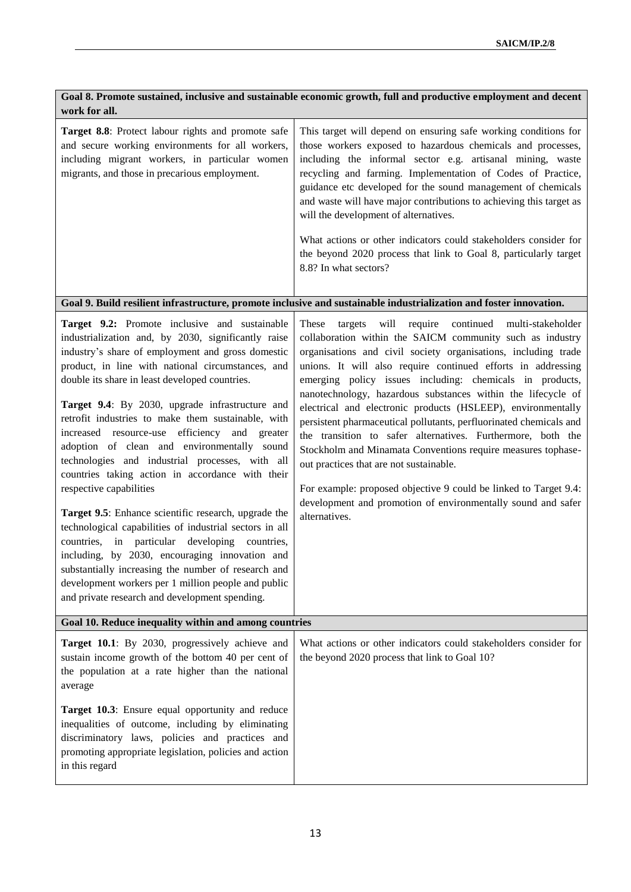| Goal 8. Promote sustained, inclusive and sustainable economic growth, full and productive employment and decent<br>work for all.                                                                                                                                                                                                                                                                                                                                                                                                                                                                                                                                                                                                                                                                                                                                   |  |  |  |
|--------------------------------------------------------------------------------------------------------------------------------------------------------------------------------------------------------------------------------------------------------------------------------------------------------------------------------------------------------------------------------------------------------------------------------------------------------------------------------------------------------------------------------------------------------------------------------------------------------------------------------------------------------------------------------------------------------------------------------------------------------------------------------------------------------------------------------------------------------------------|--|--|--|
| This target will depend on ensuring safe working conditions for<br>those workers exposed to hazardous chemicals and processes,<br>including the informal sector e.g. artisanal mining, waste<br>recycling and farming. Implementation of Codes of Practice,<br>guidance etc developed for the sound management of chemicals<br>and waste will have major contributions to achieving this target as<br>will the development of alternatives.<br>What actions or other indicators could stakeholders consider for<br>the beyond 2020 process that link to Goal 8, particularly target<br>8.8? In what sectors?                                                                                                                                                                                                                                                       |  |  |  |
| Goal 9. Build resilient infrastructure, promote inclusive and sustainable industrialization and foster innovation.                                                                                                                                                                                                                                                                                                                                                                                                                                                                                                                                                                                                                                                                                                                                                 |  |  |  |
| will<br>require<br>continued multi-stakeholder<br>These<br>targets<br>collaboration within the SAICM community such as industry<br>organisations and civil society organisations, including trade<br>unions. It will also require continued efforts in addressing<br>emerging policy issues including: chemicals in products,<br>nanotechnology, hazardous substances within the lifecycle of<br>electrical and electronic products (HSLEEP), environmentally<br>persistent pharmaceutical pollutants, perfluorinated chemicals and<br>the transition to safer alternatives. Furthermore, both the<br>Stockholm and Minamata Conventions require measures tophase-<br>out practices that are not sustainable.<br>For example: proposed objective 9 could be linked to Target 9.4:<br>development and promotion of environmentally sound and safer<br>alternatives. |  |  |  |
| Goal 10. Reduce inequality within and among countries                                                                                                                                                                                                                                                                                                                                                                                                                                                                                                                                                                                                                                                                                                                                                                                                              |  |  |  |
| What actions or other indicators could stakeholders consider for<br>the beyond 2020 process that link to Goal 10?                                                                                                                                                                                                                                                                                                                                                                                                                                                                                                                                                                                                                                                                                                                                                  |  |  |  |
|                                                                                                                                                                                                                                                                                                                                                                                                                                                                                                                                                                                                                                                                                                                                                                                                                                                                    |  |  |  |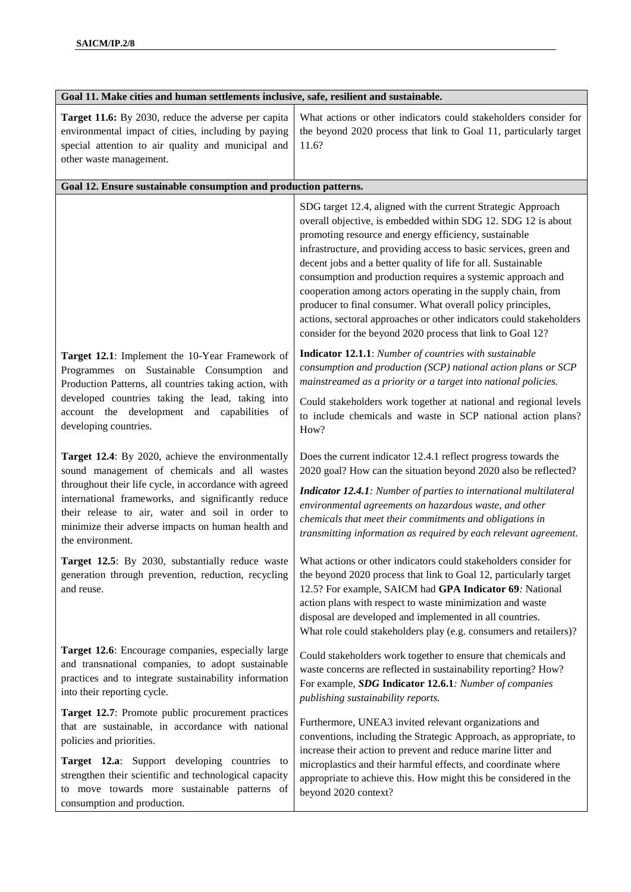| Goal 11. Make cities and human settlements inclusive, safe, resilient and sustainable.                                                                                                                                                                                                                                                          |                                                                                                                                                                                                                                                                                                                                                                                                                                                                                                                                                                                                                                                                 |  |
|-------------------------------------------------------------------------------------------------------------------------------------------------------------------------------------------------------------------------------------------------------------------------------------------------------------------------------------------------|-----------------------------------------------------------------------------------------------------------------------------------------------------------------------------------------------------------------------------------------------------------------------------------------------------------------------------------------------------------------------------------------------------------------------------------------------------------------------------------------------------------------------------------------------------------------------------------------------------------------------------------------------------------------|--|
| Target 11.6: By 2030, reduce the adverse per capita<br>environmental impact of cities, including by paying<br>special attention to air quality and municipal and<br>other waste management.                                                                                                                                                     | What actions or other indicators could stakeholders consider for<br>the beyond 2020 process that link to Goal 11, particularly target<br>11.6?                                                                                                                                                                                                                                                                                                                                                                                                                                                                                                                  |  |
| Goal 12. Ensure sustainable consumption and production patterns.                                                                                                                                                                                                                                                                                |                                                                                                                                                                                                                                                                                                                                                                                                                                                                                                                                                                                                                                                                 |  |
|                                                                                                                                                                                                                                                                                                                                                 | SDG target 12.4, aligned with the current Strategic Approach<br>overall objective, is embedded within SDG 12. SDG 12 is about<br>promoting resource and energy efficiency, sustainable<br>infrastructure, and providing access to basic services, green and<br>decent jobs and a better quality of life for all. Sustainable<br>consumption and production requires a systemic approach and<br>cooperation among actors operating in the supply chain, from<br>producer to final consumer. What overall policy principles,<br>actions, sectoral approaches or other indicators could stakeholders<br>consider for the beyond 2020 process that link to Goal 12? |  |
| Target 12.1: Implement the 10-Year Framework of<br>Programmes on Sustainable Consumption<br>and<br>Production Patterns, all countries taking action, with                                                                                                                                                                                       | Indicator 12.1.1: Number of countries with sustainable<br>consumption and production (SCP) national action plans or SCP<br>mainstreamed as a priority or a target into national policies.                                                                                                                                                                                                                                                                                                                                                                                                                                                                       |  |
| developed countries taking the lead, taking into<br>account the development and capabilities<br>- of<br>developing countries.                                                                                                                                                                                                                   | Could stakeholders work together at national and regional levels<br>to include chemicals and waste in SCP national action plans?<br>How?                                                                                                                                                                                                                                                                                                                                                                                                                                                                                                                        |  |
| Target 12.4: By 2020, achieve the environmentally<br>sound management of chemicals and all wastes<br>throughout their life cycle, in accordance with agreed<br>international frameworks, and significantly reduce<br>their release to air, water and soil in order to<br>minimize their adverse impacts on human health and<br>the environment. | Does the current indicator 12.4.1 reflect progress towards the<br>2020 goal? How can the situation beyond 2020 also be reflected?<br><b>Indicator 12.4.1:</b> Number of parties to international multilateral<br>environmental agreements on hazardous waste, and other<br>chemicals that meet their commitments and obligations in<br>transmitting information as required by each relevant agreement.                                                                                                                                                                                                                                                         |  |
| generation through prevention, reduction, recycling<br>and reuse.                                                                                                                                                                                                                                                                               | Target 12.5: By 2030, substantially reduce waste   What actions or other indicators could stakeholders consider for<br>the beyond 2020 process that link to Goal 12, particularly target<br>12.5? For example, SAICM had GPA Indicator 69: National<br>action plans with respect to waste minimization and waste<br>disposal are developed and implemented in all countries.<br>What role could stakeholders play (e.g. consumers and retailers)?                                                                                                                                                                                                               |  |
| Target 12.6: Encourage companies, especially large<br>and transnational companies, to adopt sustainable<br>practices and to integrate sustainability information<br>into their reporting cycle.                                                                                                                                                 | Could stakeholders work together to ensure that chemicals and<br>waste concerns are reflected in sustainability reporting? How?<br>For example, SDG Indicator 12.6.1: Number of companies<br>publishing sustainability reports.                                                                                                                                                                                                                                                                                                                                                                                                                                 |  |
| Target 12.7: Promote public procurement practices<br>that are sustainable, in accordance with national<br>policies and priorities.<br>Target 12.a: Support developing countries to<br>strengthen their scientific and technological capacity<br>to move towards more sustainable patterns of<br>consumption and production.                     | Furthermore, UNEA3 invited relevant organizations and<br>conventions, including the Strategic Approach, as appropriate, to<br>increase their action to prevent and reduce marine litter and<br>microplastics and their harmful effects, and coordinate where<br>appropriate to achieve this. How might this be considered in the<br>beyond 2020 context?                                                                                                                                                                                                                                                                                                        |  |
|                                                                                                                                                                                                                                                                                                                                                 |                                                                                                                                                                                                                                                                                                                                                                                                                                                                                                                                                                                                                                                                 |  |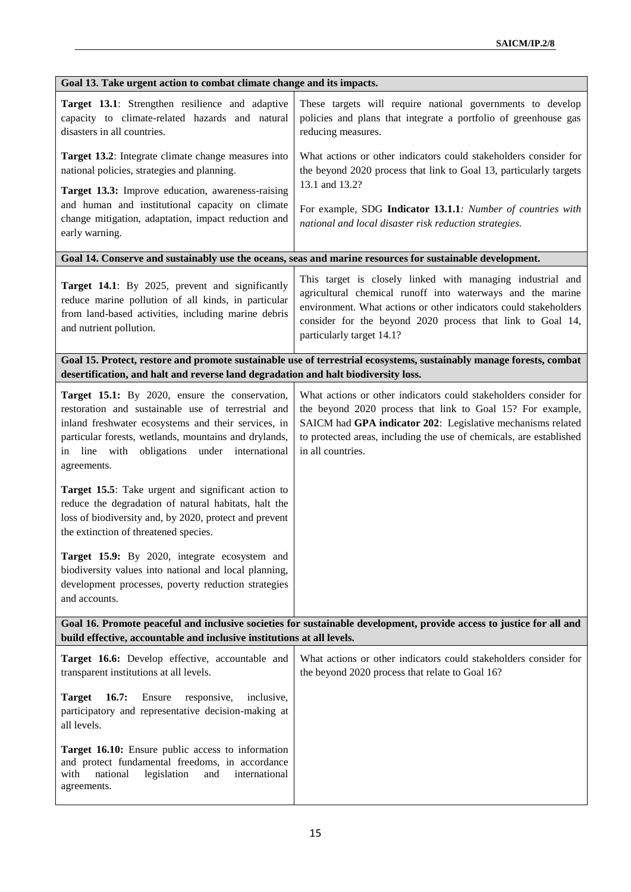| Goal 13. Take urgent action to combat climate change and its impacts.                                                                                                                                                                                                               |                                                                                                                                                                                                                                                                                           |  |  |
|-------------------------------------------------------------------------------------------------------------------------------------------------------------------------------------------------------------------------------------------------------------------------------------|-------------------------------------------------------------------------------------------------------------------------------------------------------------------------------------------------------------------------------------------------------------------------------------------|--|--|
| Target 13.1: Strengthen resilience and adaptive<br>capacity to climate-related hazards and natural<br>disasters in all countries.                                                                                                                                                   | These targets will require national governments to develop<br>policies and plans that integrate a portfolio of greenhouse gas<br>reducing measures.                                                                                                                                       |  |  |
| Target 13.2: Integrate climate change measures into<br>national policies, strategies and planning.<br>Target 13.3: Improve education, awareness-raising                                                                                                                             | What actions or other indicators could stakeholders consider for<br>the beyond 2020 process that link to Goal 13, particularly targets<br>13.1 and 13.2?                                                                                                                                  |  |  |
| and human and institutional capacity on climate<br>change mitigation, adaptation, impact reduction and<br>early warning.                                                                                                                                                            | For example, SDG Indicator 13.1.1: Number of countries with<br>national and local disaster risk reduction strategies.                                                                                                                                                                     |  |  |
|                                                                                                                                                                                                                                                                                     | Goal 14. Conserve and sustainably use the oceans, seas and marine resources for sustainable development.                                                                                                                                                                                  |  |  |
| Target 14.1: By 2025, prevent and significantly<br>reduce marine pollution of all kinds, in particular<br>from land-based activities, including marine debris<br>and nutrient pollution.                                                                                            | This target is closely linked with managing industrial and<br>agricultural chemical runoff into waterways and the marine<br>environment. What actions or other indicators could stakeholders<br>consider for the beyond 2020 process that link to Goal 14,<br>particularly target 14.1?   |  |  |
| desertification, and halt and reverse land degradation and halt biodiversity loss.                                                                                                                                                                                                  | Goal 15. Protect, restore and promote sustainable use of terrestrial ecosystems, sustainably manage forests, combat                                                                                                                                                                       |  |  |
| Target 15.1: By 2020, ensure the conservation,<br>restoration and sustainable use of terrestrial and<br>inland freshwater ecosystems and their services, in<br>particular forests, wetlands, mountains and drylands,<br>in line with obligations under international<br>agreements. | What actions or other indicators could stakeholders consider for<br>the beyond 2020 process that link to Goal 15? For example,<br>SAICM had GPA indicator 202: Legislative mechanisms related<br>to protected areas, including the use of chemicals, are established<br>in all countries. |  |  |
| Target 15.5: Take urgent and significant action to<br>reduce the degradation of natural habitats, halt the<br>loss of biodiversity and, by 2020, protect and prevent<br>the extinction of threatened species.                                                                       |                                                                                                                                                                                                                                                                                           |  |  |
| Target 15.9: By 2020, integrate ecosystem and<br>biodiversity values into national and local planning,<br>development processes, poverty reduction strategies<br>and accounts.                                                                                                      |                                                                                                                                                                                                                                                                                           |  |  |
| Goal 16. Promote peaceful and inclusive societies for sustainable development, provide access to justice for all and<br>build effective, accountable and inclusive institutions at all levels.                                                                                      |                                                                                                                                                                                                                                                                                           |  |  |
| Target 16.6: Develop effective, accountable and<br>transparent institutions at all levels.                                                                                                                                                                                          | What actions or other indicators could stakeholders consider for<br>the beyond 2020 process that relate to Goal 16?                                                                                                                                                                       |  |  |
| <b>Target</b><br>16.7:<br>Ensure<br>responsive,<br>inclusive,<br>participatory and representative decision-making at<br>all levels.                                                                                                                                                 |                                                                                                                                                                                                                                                                                           |  |  |
| Target 16.10: Ensure public access to information<br>and protect fundamental freedoms, in accordance<br>international<br>with<br>national<br>legislation<br>and<br>agreements.                                                                                                      |                                                                                                                                                                                                                                                                                           |  |  |